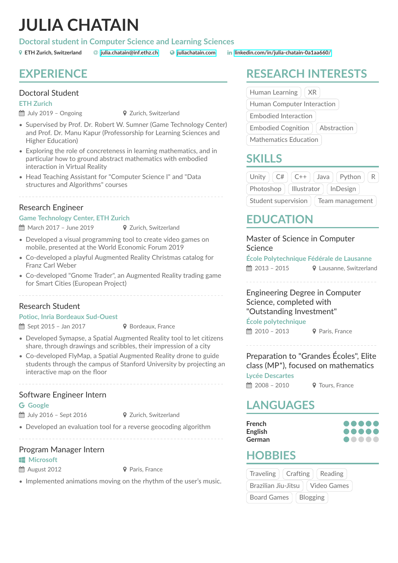# **JULIA CHATAIN**

#### **Doctoral student in Computer Science and Learning Sciences**

### **EXPERIENCE**

### Doctoral Student

**ETH Zurich**

- $\hat{H}$  July 2019 Ongoing  $\hat{V}$  Zurich, Switzerland
- 
- Supervised by Prof. Dr. Robert W. Sumner (Game Technology Center) and Prof. Dr. Manu Kapur (Professorship for Learning Sciences and Higher Education)
- Exploring the role of concreteness in learning mathematics, and in particular how to ground abstract mathematics with embodied interaction in Virtual Reality
- Head Teaching Assistant for "Computer Science I" and "Data structures and Algorithms" courses

### Research Engineer

#### **Game Technology Center, ETH Zurich**

 $\hat{m}$  March 2017 – June 2019  $\bullet$  Zurich, Switzerland

- Developed a visual programming tool to create video games on mobile, presented at the World Economic Forum 2019
- Co-developed a playful Augmented Reality Christmas catalog for Franz Carl Weber
- Co-developed "Gnome Trader", an Augmented Reality trading game for Smart Cities (European Project)

### Research Student

#### **Potioc, Inria Bordeaux Sud-Ouest**

- $\hat{m}$  Sept 2015 Jan 2017  $\bullet$  Bordeaux, France
- Developed Symapse, a Spatial Augmented Reality tool to let citizens share, through drawings and scribbles, their impression of a city
- Co-developed FlyMap, a Spatial Augmented Reality drone to guide students through the campus of Stanford University by projecting an interactive map on the floor

### Software Engineer Intern

#### **Google**

- $\hat{m}$  July 2016 Sept 2016  $\hat{Q}$  Zurich, Switzerland
- 
- Developed an evaluation tool for a reverse geocoding algorithm

#### Program Manager Intern

**Microsoft** 

**■ August 2012 ↓ ● Paris, France** 

• Implemented animations moving on the rhythm of the user's music.

# **RESEARCH INTERESTS**

Human Learning  $\vert$  XR

Human Computer Interaction

Embodied Interaction

Embodied Cognition  $\int$  Abstraction

Mathematics Education

### **SKILLS**

| Unity                                  | C# | $C++$                  | Java | Python |  |
|----------------------------------------|----|------------------------|------|--------|--|
| Photoshop                              |    | Illustrator   InDesign |      |        |  |
| Student supervision<br>Team management |    |                        |      |        |  |

## **EDUCATION**

Master of Science in Computer Science

**École Polytechnique Fédérale de Lausanne**

 $\hat{m}$  2013 – 2015  $\bullet$  Lausanne, Switzerland

Engineering Degree in Computer Science, completed with "Outstanding Investment"

#### **École polytechnique**

 $\hat{m}$  2010 – 2013  $\bullet$  Paris, France

### Preparation to "Grandes Écoles", Elite class (MP\*), focused on mathematics

**Lycée Descartes**  $\hat{m}$  2008 – 2010  $\bullet$  Tours, France

### **LANGUAGES**

| <b>French</b> |  |  |  |
|---------------|--|--|--|
| English       |  |  |  |
| German        |  |  |  |

### **HOBBIES**

| <b>Traveling</b>                      | <b>Crafting</b> | Reading |  |  |  |
|---------------------------------------|-----------------|---------|--|--|--|
| Brazilian Jiu-Jitsu<br>Video Games    |                 |         |  |  |  |
| <b>Board Games</b><br><b>Blogging</b> |                 |         |  |  |  |